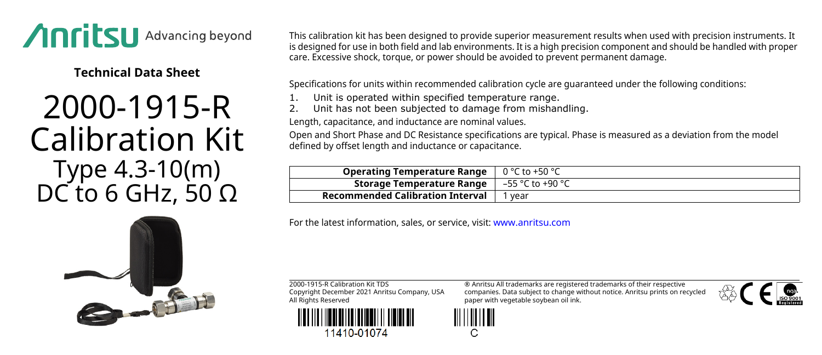

**Technical Data Sheet**

## 2000-1915-R Calibration Kit Type 4.3-10(m) DC to 6 GHz, 50  $Ω$

This calibration kit has been designed to provide superior measurement results when used with precision instruments. It is designed for use in both field and lab environments. It is a high precision component and should be handled with proper care. Excessive shock, torque, or power should be avoided to prevent permanent damage.

Specifications for units within recommended calibration cycle are guaranteed under the following conditions:

- Unit is operated within specified temperature range.
- Unit has not been subjected to damage from mishandling.

Length, capacitance, and inductance are nominal values.

Open and Short Phase and DC Resistance specifications are typical. Phase is measured as a deviation from the model defined by offset length and inductance or capacitance.

| <b>Operating Temperature Range</b> $\int 0^{\circ}C \cos(10^{\circ}C)$    |      |
|---------------------------------------------------------------------------|------|
| <b>Storage Temperature Range</b> $\vert -55 \degree C$ to +90 $\degree C$ |      |
| <b>Recommended Calibration Interval</b>                                   | vear |
|                                                                           |      |

For the latest information, sales, or service, visit: [www.anritsu.com](http://www.anritsu.com)

2000-1915-R Calibration Kit TDS Copyright December 2021 Anritsu Company, USA All Rights Reserved



11410-01074

® Anritsu All trademarks are registered trademarks of their respective companies. Data subject to change without notice. Anritsu prints on recycled paper with vegetable soybean oil ink.